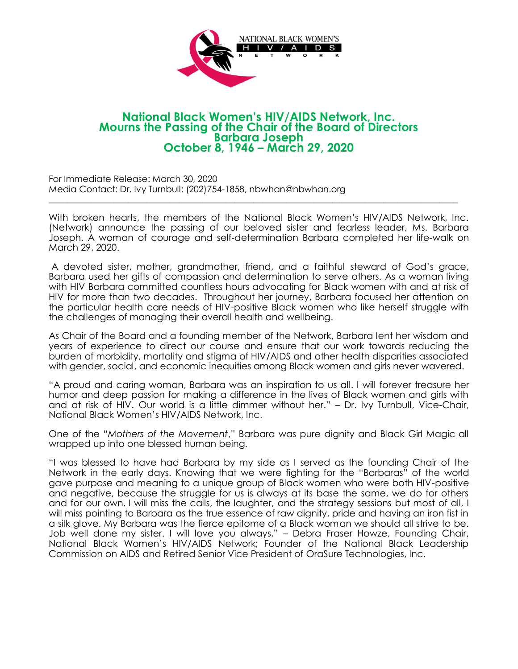

## **National Black Women's HIV/AIDS Network, Inc. Mourns the Passing of the Chair of the Board of Directors Barbara Joseph October 8, 1946 – March 29, 2020**

For Immediate Release: March 30, 2020 Media Contact: Dr. Ivy Turnbull: (202)754-1858, nbwhan@nbwhan.org

With broken hearts, the members of the National Black Women's HIV/AIDS Network, Inc. (Network) announce the passing of our beloved sister and fearless leader, Ms. Barbara Joseph. A woman of courage and self-determination Barbara completed her life-walk on March 29, 2020.

\_\_\_\_\_\_\_\_\_\_\_\_\_\_\_\_\_\_\_\_\_\_\_\_\_\_\_\_\_\_\_\_\_\_\_\_\_\_\_\_\_\_\_\_\_\_\_\_\_\_\_\_\_\_\_\_\_\_\_\_\_\_\_\_\_\_\_\_\_\_\_\_\_\_\_\_\_\_\_\_\_\_\_\_\_\_\_\_

A devoted sister, mother, grandmother, friend, and a faithful steward of God's grace, Barbara used her gifts of compassion and determination to serve others. As a woman living with HIV Barbara committed countless hours advocating for Black women with and at risk of HIV for more than two decades. Throughout her journey, Barbara focused her attention on the particular health care needs of HIV-positive Black women who like herself struggle with the challenges of managing their overall health and wellbeing.

As Chair of the Board and a founding member of the Network, Barbara lent her wisdom and years of experience to direct our course and ensure that our work towards reducing the burden of morbidity, mortality and stigma of HIV/AIDS and other health disparities associated with gender, social, and economic inequities among Black women and girls never wavered.

"A proud and caring woman, Barbara was an inspiration to us all. I will forever treasure her humor and deep passion for making a difference in the lives of Black women and girls with and at risk of HIV. Our world is a little dimmer without her." – Dr. Ivy Turnbull, Vice-Chair, National Black Women's HIV/AIDS Network, Inc.

One of the "*Mothers of the Movement*," Barbara was pure dignity and Black Girl Magic all wrapped up into one blessed human being.

"I was blessed to have had Barbara by my side as I served as the founding Chair of the Network in the early days. Knowing that we were fighting for the "Barbaras" of the world gave purpose and meaning to a unique group of Black women who were both HIV-positive and negative, because the struggle for us is always at its base the same, we do for others and for our own. I will miss the calls, the laughter, and the strategy sessions but most of all, I will miss pointing to Barbara as the true essence of raw dignity, pride and having an iron fist in a silk glove. My Barbara was the fierce epitome of a Black woman we should all strive to be. Job well done my sister. I will love you always," – Debra Fraser Howze, Founding Chair, National Black Women's HIV/AIDS Network; Founder of the National Black Leadership Commission on AIDS and Retired Senior Vice President of OraSure Technologies, Inc.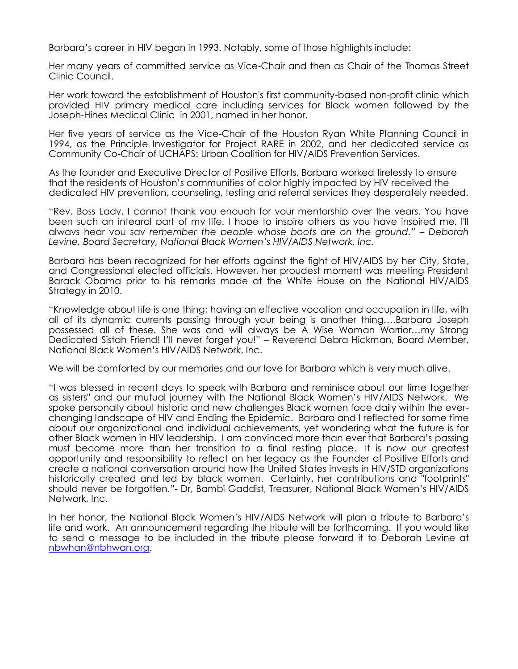Barbara's career in HIV began in 1993. Notably, some of those highlights include:

Her many years of committed service as Vice-Chair and then as Chair of the Thomas Street Clinic Council.

Her work toward the establishment of Houston's first community-based non‐profit clinic which provided HIV primary medical care including services for Black women followed by the Joseph-Hines Medical Clinic in 2001, named in her honor.

Her five years of service as the Vice-Chair of the Houston Ryan White Planning Council in 1994, as the Principle Investigator for Project RARE in 2002, and her dedicated service as Community Co-Chair of UCHAPS: Urban Coalition for HIV/AIDS Prevention Services.

As the founder and Executive Director of Positive Efforts, Barbara worked tirelessly to ensure that the residents of Houston's communities of color highly impacted by HIV received the dedicated HIV prevention, counseling, testing and referral services they desperately needed.

"Rev. Boss Lady, I cannot thank you enough for your mentorship over the years. You have been such an integral part of my life. I hope to inspire others as you have inspired me. I'll always hear you say *remember the people whose boots are on the ground." – Deborah Levine, Board Secretary, National Black Women's HIV/AIDS Network, Inc.* 

Barbara has been recognized for her efforts against the fight of HIV/AIDS by her City, State, and Congressional elected officials. However, her proudest moment was meeting President Barack Obama prior to his remarks made at the White House on the National HIV/AIDS Strategy in 2010.

"Knowledge about life is one thing; having an effective vocation and occupation in life, with all of its dynamic currents passing through your being is another thing….Barbara Joseph possessed all of these. She was and will always be A Wise Woman Warrior…my Strong Dedicated Sistah Friend! I'll never forget you!" – Reverend Debra Hickman, Board Member, National Black Women's HIV/AIDS Network, Inc.

We will be comforted by our memories and our love for Barbara which is very much alive.

"I was blessed in recent days to speak with Barbara and reminisce about our time together as sisters" and our mutual journey with the National Black Women's HIV/AIDS Network. We spoke personally about historic and new challenges Black women face daily within the everchanging landscape of HIV and Ending the Epidemic. Barbara and I reflected for some time about our organizational and individual achievements, yet wondering what the future is for other Black women in HIV leadership. I am convinced more than ever that Barbara's passing must become more than her transition to a final resting place. It is now our greatest opportunity and responsibility to reflect on her legacy as the Founder of Positive Efforts and create a national conversation around how the United States invests in HIV/STD organizations historically created and led by black women. Certainly, her contributions and "footprints" should never be forgotten."- Dr, Bambi Gaddist, Treasurer, National Black Women's HIV/AIDS Network, Inc.

In her honor, the National Black Women's HIV/AIDS Network will plan a tribute to Barbara's life and work. An announcement regarding the tribute will be forthcoming. If you would like to send a message to be included in the tribute please forward it to Deborah Levine at [nbwhan@nbhwan.org.](mailto:nbwhan@nbhwan.org)